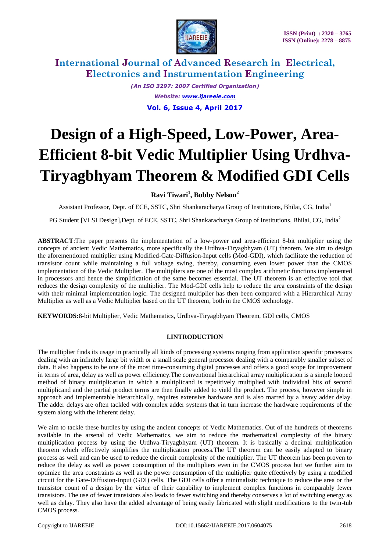



> *(An ISO 3297: 2007 Certified Organization) Website: www.ijareeie.com* **Vol. 6, Issue 4, April 2017**

# **Design of a High-Speed, Low-Power, Area-Efficient 8-bit Vedic Multiplier Using Urdhva-Tiryagbhyam Theorem & Modified GDI Cells**

**Ravi Tiwari<sup>1</sup> , Bobby Nelson<sup>2</sup>**

Assistant Professor, Dept. of ECE, SSTC, Shri Shankaracharya Group of Institutions, Bhilai, CG, India<sup>1</sup>

PG Student [VLSI Design],Dept. of ECE, SSTC, Shri Shankaracharya Group of Institutions, Bhilai, CG, India<sup>2</sup>

**ABSTRACT**:The paper presents the implementation of a low-power and area-efficient 8-bit multiplier using the concepts of ancient Vedic Mathematics, more specifically the Urdhva-Tiryagbhyam (UT) theorem. We aim to design the aforementioned multiplier using Modified-Gate-Diffusion-Input cells (Mod-GDI), which facilitate the reduction of transistor count while maintaining a full voltage swing, thereby, consuming even lower power than the CMOS implementation of the Vedic Multiplier. The multipliers are one of the most complex arithmetic functions implemented in processors and hence the simplification of the same becomes essential. The UT theorem is an effective tool that reduces the design complexity of the multiplier. The Mod-GDI cells help to reduce the area constraints of the design with their minimal implementation logic. The designed multiplier has then been compared with a Hierarchical Array Multiplier as well as a Vedic Multiplier based on the UT theorem, both in the CMOS technology.

**KEYWORDS:**8-bit Multiplier, Vedic Mathematics, Urdhva-Tiryagbhyam Theorem, GDI cells, CMOS

### **I.INTRODUCTION**

The multiplier finds its usage in practically all kinds of processing systems ranging from application specific processors dealing with an infinitely large bit width or a small scale general processor dealing with a comparably smaller subset of data. It also happens to be one of the most time-consuming digital processes and offers a good scope for improvement in terms of area, delay as well as power efficiency.The conventional hierarchical array multiplication is a simple looped method of binary multiplication in which a multiplicand is repetitively multiplied with individual bits of second multiplicand and the partial product terms are then finally added to yield the product. The process, however simple in approach and implementable hierarchically, requires extensive hardware and is also marred by a heavy adder delay. The adder delays are often tackled with complex adder systems that in turn increase the hardware requirements of the system along with the inherent delay.

We aim to tackle these hurdles by using the ancient concepts of Vedic Mathematics. Out of the hundreds of theorems available in the arsenal of Vedic Mathematics, we aim to reduce the mathematical complexity of the binary multiplication process by using the Urdhva-Tiryagbhyam (UT) theorem. It is basically a decimal multiplication theorem which effectively simplifies the multiplication process.The UT theorem can be easily adapted to binary process as well and can be used to reduce the circuit complexity of the multiplier. The UT theorem has been proven to reduce the delay as well as power consumption of the multipliers even in the CMOS process but we further aim to optimize the area constraints as well as the power consumption of the multiplier quite effectively by using a modified circuit for the Gate-Diffusion-Input (GDI) cells. The GDI cells offer a minimalistic technique to reduce the area or the transistor count of a design by the virtue of their capability to implement complex functions in comparably fewer transistors. The use of fewer transistors also leads to fewer switching and thereby conserves a lot of switching energy as well as delay. They also have the added advantage of being easily fabricated with slight modifications to the twin-tub CMOS process.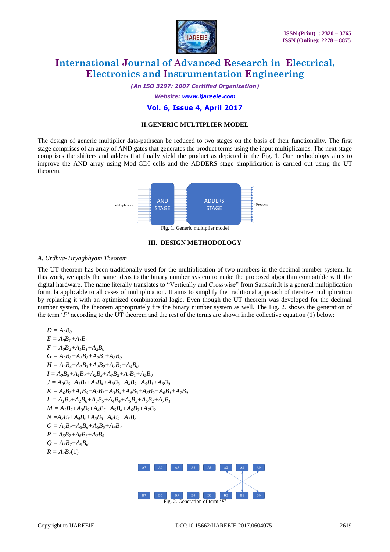

*(An ISO 3297: 2007 Certified Organization)*

*Website: www.ijareeie.com*

### **Vol. 6, Issue 4, April 2017**

#### **II.GENERIC MULTIPLIER MODEL**

The design of generic multiplier data-pathscan be reduced to two stages on the basis of their functionality. The first stage comprises of an array of AND gates that generates the product terms using the input multiplicands. The next stage comprises the shifters and adders that finally yield the product as depicted in the Fig. 1. Our methodology aims to improve the AND array using Mod-GDI cells and the ADDERS stage simplification is carried out using the UT theorem.



#### **III. DESIGN METHODOLOGY**

#### *A. Urdhva-Tiryagbhyam Theorem*

The UT theorem has been traditionally used for the multiplication of two numbers in the decimal number system. In this work, we apply the same ideas to the binary number system to make the proposed algorithm compatible with the digital hardware. The name literally translates to "Vertically and Crosswise" from Sanskrit.It is a general multiplication formula applicable to all cases of multiplication. It aims to simplify the traditional approach of iterative multiplication by replacing it with an optimized combinatorial logic. Even though the UT theorem was developed for the decimal number system, the theorem appropriately fits the binary number system as well. The Fig. 2. shows the generation of the term '*F*" according to the UT theorem and the rest of the terms are shown inthe collective equation (1) below:

$$
D = A_0B_0
$$
  
\n
$$
E = A_0B_1 + A_1B_0
$$
  
\n
$$
F = A_0B_2 + A_1B_1 + A_2B_0
$$
  
\n
$$
G = A_0B_3 + A_1B_2 + A_2B_1 + A_3B_0
$$
  
\n
$$
H = A_0B_4 + A_1B_3 + A_2B_2 + A_3B_1 + A_4B_0
$$
  
\n
$$
I = A_0B_5 + A_1B_4 + A_2B_3 + A_3B_2 + A_4B_1 + A_5B_0
$$
  
\n
$$
J = A_0B_6 + A_1B_5 + A_2B_4 + A_3B_3 + A_4B_2 + A_5B_1 + A_6B_0
$$
  
\n
$$
K = A_0B_7 + A_1B_6 + A_2B_5 + A_3B_4 + A_4B_3 + A_3B_2 + A_6B_1 + A_7B_0
$$
  
\n
$$
L = A_1B_7 + A_2B_6 + A_3B_5 + A_4B_4 + A_5B_3 + A_6B_2 + A_7B_1
$$
  
\n
$$
M = A_2B_7 + A_3B_6 + A_4B_5 + A_5B_4 + A_6B_3 + A_7B_2
$$
  
\n
$$
N = A_3B_7 + A_4B_6 + A_5B_5 + A_6B_4 + A_7B_3
$$
  
\n
$$
O = A_4B_7 + A_5B_6 + A_6B_5 + A_7B_4
$$
  
\n
$$
P = A_5B_7 + A_6B_6 + A_7B_5
$$
  
\n
$$
Q = A_6B_7 + A_5B_6
$$
  
\n
$$
R = A_7B_7(1)
$$

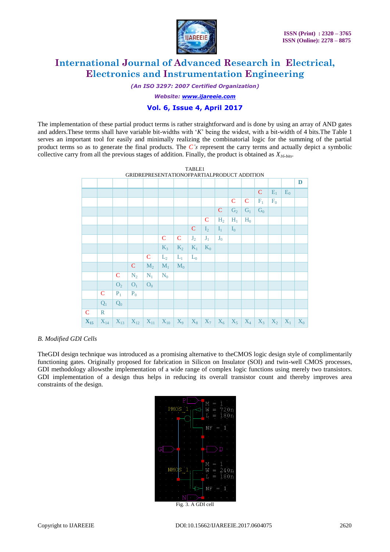

*(An ISO 3297: 2007 Certified Organization)*

*Website: www.ijareeie.com*

### **Vol. 6, Issue 4, April 2017**

The implementation of these partial product terms is rather straightforward and is done by using an array of AND gates and adders.These terms shall have variable bit-widths with "*K*" being the widest, with a bit-width of 4 bits.The Table 1 serves an important tool for easily and minimally realizing the combinatorial logic for the summing of the partial product terms so as to generate the final products. The *C's* represent the carry terms and actually depict a symbolic collective carry from all the previous stages of addition. Finally, the product is obtained as *X16-bits*.



#### *B. Modified GDI Cells*

TheGDI design technique was introduced as a promising alternative to theCMOS logic design style of complimentarily functioning gates. Originally proposed for fabrication in Silicon on Insulator (SOI) and twin-well CMOS processes, GDI methodology allowsthe implementation of a wide range of complex logic functions using merely two transistors. GDI implementation of a design thus helps in reducing its overall transistor count and thereby improves area constraints of the design.

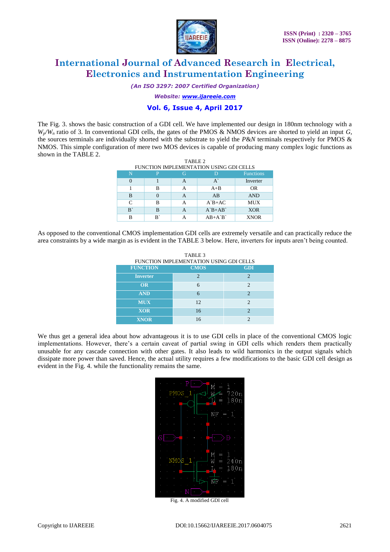

*(An ISO 3297: 2007 Certified Organization)*

*Website: www.ijareeie.com*

### **Vol. 6, Issue 4, April 2017**

The Fig. 3. shows the basic construction of a GDI cell. We have implemented our design in 180nm technology with a  $W_p/W_n$  ratio of 3. In conventional GDI cells, the gates of the PMOS & NMOS devices are shorted to yield an input *G*, the sources terminals are individually shorted with the substrate to yield the *P*&*N* terminals respectively for PMOS & NMOS. This simple configuration of mere two MOS devices is capable of producing many complex logic functions as shown in the TABLE 2. TABLE 2

| IADLE 4<br>FUNCTION IMPLEMENTATION USING GDI CELLS |    |   |                                       |                  |  |  |  |
|----------------------------------------------------|----|---|---------------------------------------|------------------|--|--|--|
| N                                                  | P  | G |                                       | <b>Functions</b> |  |  |  |
|                                                    |    | А | $A^{\sim}$                            | Inverter         |  |  |  |
|                                                    | в  | А | $A + B$                               | <b>OR</b>        |  |  |  |
| B                                                  |    | А | AB                                    | <b>AND</b>       |  |  |  |
| C                                                  | в  | А | $A^{\dagger}B + AC$                   | <b>MUX</b>       |  |  |  |
| B                                                  | в  | А | $A^{\dagger}B+A^{\dagger}B^{\dagger}$ | <b>XOR</b>       |  |  |  |
| в                                                  | B, |   | $AB+A'B'$                             | <b>XNOR</b>      |  |  |  |

As opposed to the conventional CMOS implementation GDI cells are extremely versatile and can practically reduce the area constraints by a wide margin as is evident in the TABLE 3 below. Here, inverters for inputs aren"t being counted.

| TABLE 3<br>FUNCTION IMPLEMENTATION USING GDI CELLS |                |                |  |  |  |  |
|----------------------------------------------------|----------------|----------------|--|--|--|--|
| <b>FUNCTION</b>                                    | <b>CMOS</b>    | <b>GDI</b>     |  |  |  |  |
| <b>Inverter</b>                                    | $\mathfrak{D}$ | $\mathcal{D}$  |  |  |  |  |
| <b>OR</b>                                          | 6              | $\mathfrak{D}$ |  |  |  |  |
| <b>AND</b>                                         | 6              | $\mathfrak{D}$ |  |  |  |  |
| <b>MUX</b>                                         | 12             | $\mathfrak{D}$ |  |  |  |  |
| <b>XOR</b>                                         | 16             | $\mathcal{D}$  |  |  |  |  |
| <b>XNOR</b>                                        | 16             | $\mathcal{D}$  |  |  |  |  |

We thus get a general idea about how advantageous it is to use GDI cells in place of the conventional CMOS logic implementations. However, there"s a certain caveat of partial swing in GDI cells which renders them practically unusable for any cascade connection with other gates. It also leads to wild harmonics in the output signals which dissipate more power than saved. Hence, the actual utility requires a few modifications to the basic GDI cell design as evident in the Fig. 4. while the functionality remains the same.



Fig. 4. A modified GDI cell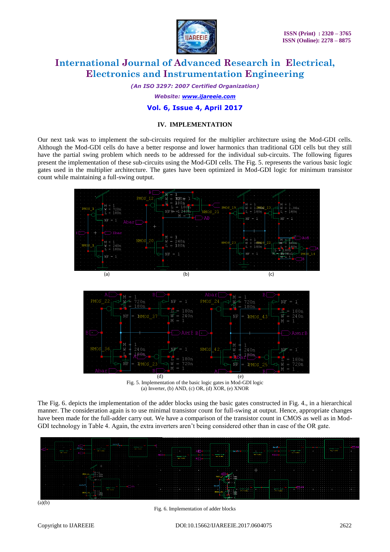

*(An ISO 3297: 2007 Certified Organization)*

*Website: www.ijareeie.com*

### **Vol. 6, Issue 4, April 2017**

### **IV. IMPLEMENTATION**

Our next task was to implement the sub-circuits required for the multiplier architecture using the Mod-GDI cells. Although the Mod-GDI cells do have a better response and lower harmonics than traditional GDI cells but they still have the partial swing problem which needs to be addressed for the individual sub-circuits. The following figures present the implementation of these sub-circuits using the Mod-GDI cells. The Fig. 5. represents the various basic logic gates used in the multiplier architecture. The gates have been optimized in Mod-GDI logic for minimum transistor count while maintaining a full-swing output.



 (d) (e) Fig. 5. Implementation of the basic logic gates in Mod-GDI logic (a) Inverter, (b) AND, (c) OR, (d) XOR, (e) XNOR

The Fig. 6. depicts the implementation of the adder blocks using the basic gates constructed in Fig. 4., in a hierarchical manner. The consideration again is to use minimal transistor count for full-swing at output. Hence, appropriate changes have been made for the full-adder carry out. We have a comparison of the transistor count in CMOS as well as in Mod-GDI technology in Table 4. Again, the extra inverters aren't being considered other than in case of the OR gate.



 $(a)(b)$ 

Fig. 6. Implementation of adder blocks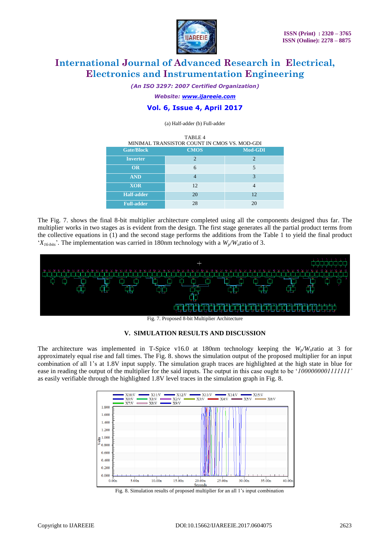

*(An ISO 3297: 2007 Certified Organization)*

*Website: www.ijareeie.com*

### **Vol. 6, Issue 4, April 2017**

(a) Half-adder (b) Full-adder

| TABLE 4<br>MINIMAL TRANSISTOR COUNT IN CMOS VS. MOD-GDI |                |         |  |  |  |
|---------------------------------------------------------|----------------|---------|--|--|--|
| <b>Gate/Block</b>                                       | <b>CMOS</b>    | Mod-GDI |  |  |  |
| <b>Inverter</b>                                         | $\mathfrak{D}$ | っ       |  |  |  |
| <b>OR</b>                                               | 6              | 5       |  |  |  |
| <b>AND</b>                                              |                | 3       |  |  |  |
| <b>XOR</b>                                              | 12             |         |  |  |  |
| <b>Half-adder</b>                                       | 20             | 12      |  |  |  |
| <b>Full-adder</b>                                       | 28             | 20      |  |  |  |

The Fig. 7. shows the final 8-bit multiplier architecture completed using all the components designed thus far. The multiplier works in two stages as is evident from the design. The first stage generates all the partial product terms from the collective equations in (1) and the second stage performs the additions from the Table 1 to yield the final product  $(X_{16-bits})$ . The implementation was carried in 180nm technology with a  $W_n/W_n$  ratio of 3.





The architecture was implemented in T-Spice v16.0 at 180nm technology keeping the *Wp/Wn*ratio at 3 for approximately equal rise and fall times. The Fig. 8. shows the simulation output of the proposed multiplier for an input combination of all 1"s at 1.8V input supply. The simulation graph traces are highlighted at the high state in blue for ease in reading the output of the multiplier for the said inputs. The output in this case ought to be "*1000000001111111'* as easily verifiable through the highlighted 1.8V level traces in the simulation graph in Fig. 8.



Fig. 8. Simulation results of proposed multiplier for an all 1"s input combination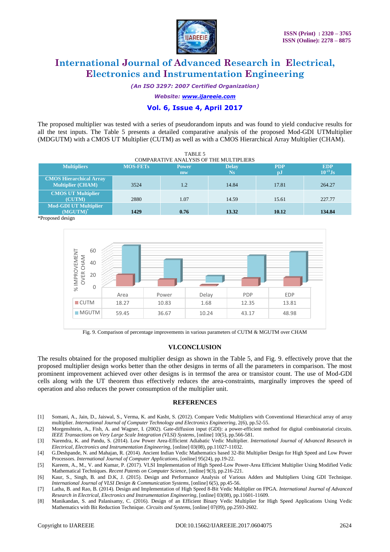

*(An ISO 3297: 2007 Certified Organization)*

*Website: www.ijareeie.com*

### **Vol. 6, Issue 4, April 2017**

The proposed multiplier was tested with a series of pseudorandom inputs and was found to yield conducive results for all the test inputs. The Table 5 presents a detailed comparative analysis of the proposed Mod-GDI UTMultiplier (MDGUTM) with a CMOS UT Multiplier (CUTM) as well as with a CMOS Hierarchical Array Multiplier (CHAM).

TABLE 5

| <b>COMPARATIVE ANALYSIS OF THE MULTIPLIERS</b>             |                 |              |              |              |               |  |  |  |
|------------------------------------------------------------|-----------------|--------------|--------------|--------------|---------------|--|--|--|
| <b>Multipliers</b>                                         | <b>MOS-FETs</b> | <b>Power</b> | <b>Delay</b> | <b>PDP</b>   | <b>EDP</b>    |  |  |  |
|                                                            |                 | mw           | <b>Ns</b>    | $\mathbf{p}$ | $10^{-21}$ Js |  |  |  |
| <b>CMOS Hierarchical Array</b><br><b>Multiplier (CHAM)</b> | 3524            | 1.2          | 14.84        | 17.81        | 264.27        |  |  |  |
|                                                            |                 |              |              |              |               |  |  |  |
| <b>CMOS UT Multiplier</b><br><b>(CUTM)</b>                 | 2880            | 1.07         | 14.59        | 15.61        | 227.77        |  |  |  |
| <b>Mod-GDI UT Multiplier</b><br>$(MGUTM)^*$                | 1429            | 0.76         | 13.32        | 10.12        | 134.84        |  |  |  |





Fig. 9. Comparison of percentage improvements in various parameters of CUTM & MGUTM over CHAM

#### **VI.CONCLUSION**

The results obtained for the proposed multiplier design as shown in the Table 5, and Fig. 9. effectively prove that the proposed multiplier design works better than the other designs in terms of all the parameters in comparison. The most prominent improvement achieved over other designs is in termsof the area or transistor count. The use of Mod-GDI cells along with the UT theorem thus effectively reduces the area-constraints, marginally improves the speed of operation and also reduces the power consumption of the multiplier unit.

#### **REFERENCES**

- [1] Somani, A., Jain, D., Jaiswal, S., Verma, K. and Kasht, S. (2012). Compare Vedic Multipliers with Conventional Hierarchical array of array multiplier. *International Journal of Computer Technology and Electronics Engineering*, 2(6), pp.52-55.
- [2] Morgenshtein, A., Fish, A. and Wagner, I. (2002). Gate-diffusion input (GDI): a power-efficient method for digital combinatorial circuits. *IEEE Transactions on Very Large Scale Integration (VLSI) Systems*, [online] 10(5), pp.566-581.
- [3] Narendra, K. and Pandu, S. (2014). Low Power Area-Efficient Adiabatic Vedic Multiplier. *International Journal of Advanced Research in Electrical, Electronics and Instrumentation Engineering*, [online] 03(08), pp.11027-11032.
- [4] G.Deshpande, N. and Mahajan, R. (2014). Ancient Indian Vedic Mathematics based 32-Bit Multiplier Design for High Speed and Low Power Processors. *International Journal of Computer Applications*, [online] 95(24), pp.19-22.
- [5] Kareem, A., M., V. and Kumar, P. (2017). VLSI Implementation of High Speed-Low Power-Area Efficient Multiplier Using Modified Vedic Mathematical Techniques. *Recent Patents on Computer Science*, [online] 9(3), pp.216-221.
- [6] Kaur, S., Singh, B. and D.K, J. (2015). Design and Performance Analysis of Various Adders and Multipliers Using GDI Technique. *International Journal of VLSI Design & Communication Systems*, [online] 6(5), pp.45-56.
- [7] Latha, B. and Rao, B. (2014). Design and Implementation of High Speed 8-Bit Vedic Multiplier on FPGA. *International Journal of Advanced Research in Electrical, Electronics and Instrumentation Engineering*, [online] 03(08), pp.11601-11609.
- [8] Manikandan, S. and Palanisamy, C. (2016). Design of an Efficient Binary Vedic Multiplier for High Speed Applications Using Vedic Mathematics with Bit Reduction Technique. *Circuits and Systems*, [online] 07(09), pp.2593-2602.